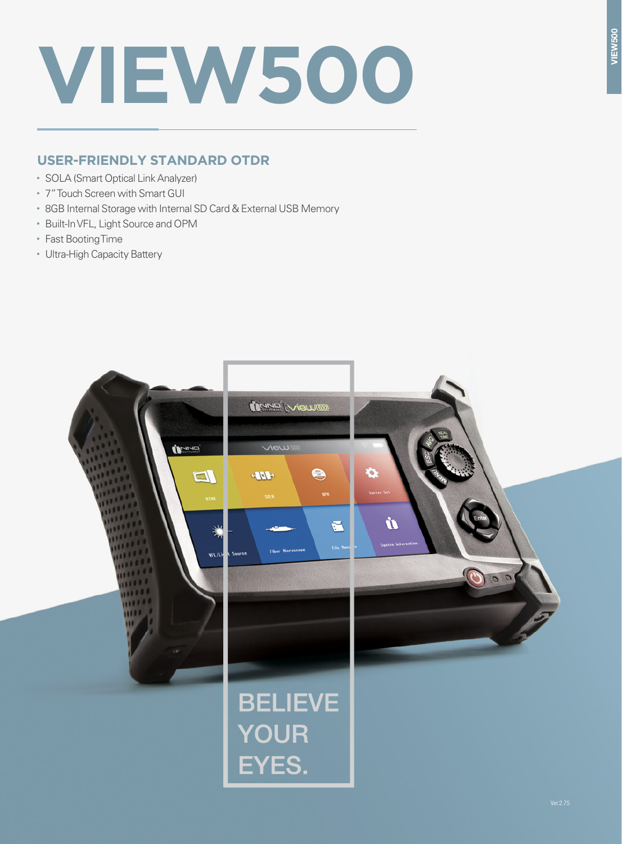# **VIEW500**

# **USER-FRIENDLY STANDARD OTDR**

- SOLA (Smart Optical Link Analyzer)
- 7" Touch Screen with Smart GUI
- 8GB Internal Storage with Internal SD Card & External USB Memory
- Built-In VFL, Light Source and OPM
- Fast Booting Time
- Ultra-High Capacity Battery

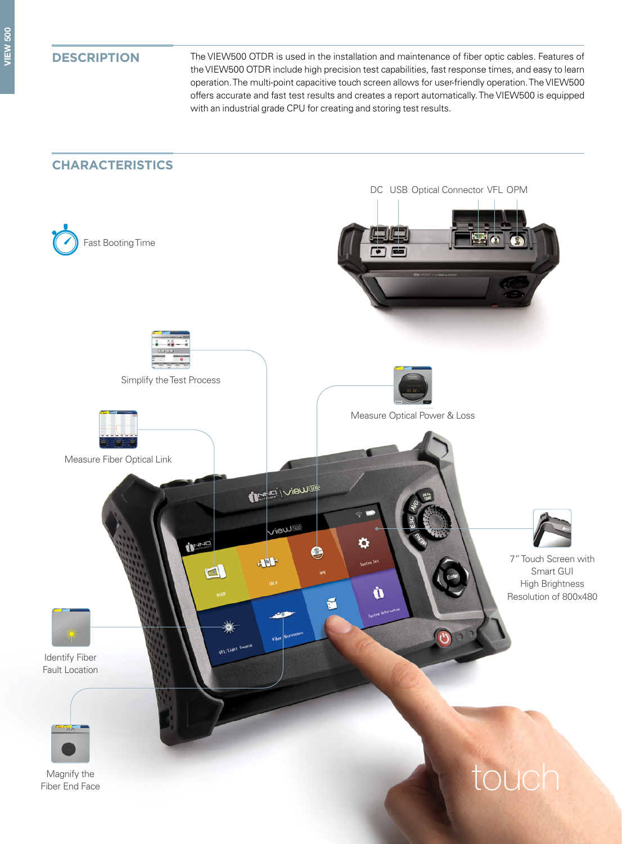**DESCRIPTION** The VIEW500 OTDR is used in the installation and maintenance of fiber optic cables. Features of the VIEW500 OTDR include high precision test capabilities, fast response times, and easy to learn operation. The multi-point capacitive touch screen allows for user-friendly operation. The VIEW500 offers accurate and fast test results and creates a report automatically. The VIEW500 is equipped with an industrial grade CPU for creating and storing test results.

### **CHARACTERISTICS**

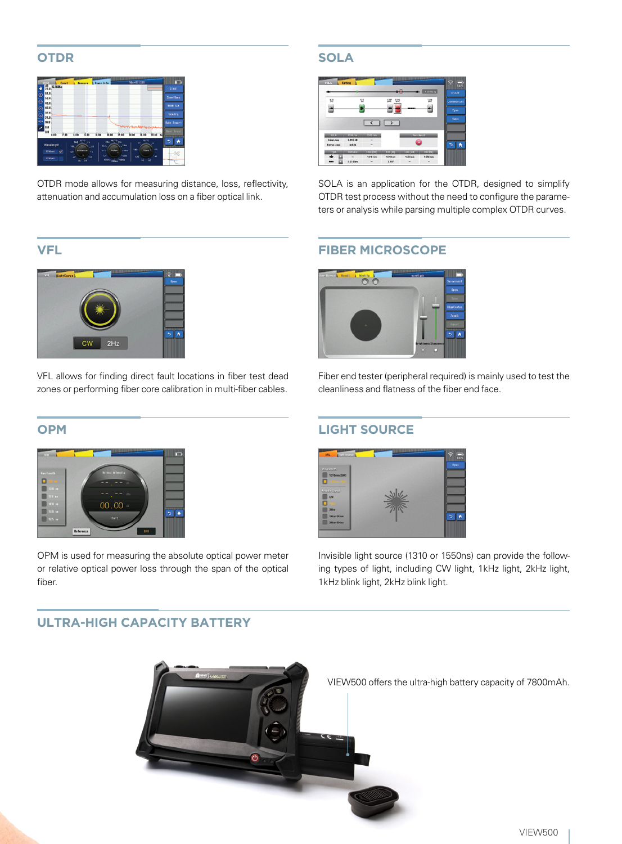### **OTDR**

| <b>Tiber011 SBI</b><br><b>LTrace Info</b><br>Event<br><b>Brassre</b><br><b>6.7688a</b><br>Ħв.                                                                                                                                                                                                                                                                                  | ж<br><b>START</b>           |
|--------------------------------------------------------------------------------------------------------------------------------------------------------------------------------------------------------------------------------------------------------------------------------------------------------------------------------------------------------------------------------|-----------------------------|
| 0.0<br>$\odot$<br>56.0                                                                                                                                                                                                                                                                                                                                                         | Save/Does                   |
| $\overline{\circ}$<br>48.6<br>40.0<br>$\odot$                                                                                                                                                                                                                                                                                                                                  | <b>BIBB</b> Set             |
| 82.0<br>$\overline{a}$<br>24.0                                                                                                                                                                                                                                                                                                                                                 | <b>Identify</b>             |
| $\frac{1}{2}$<br>16.0<br>8.8<br>×<br>0.0<br>8.00<br>11.00 Km<br>T. BO<br>20.60<br>4.00<br>2.80<br>14,00<br>6.89<br><b>SE BO</b>                                                                                                                                                                                                                                                | <b>Sake Beauxt</b><br>╼     |
| <b>AITO</b><br><b>AFTO</b><br>ALCOHOL: UNK<br>360<br>zu-<br>3.3<br><b>AT</b><br>Wavelength<br>1044<br>$30 -$<br>166<br>.3.8<br>$-135$<br>180<br>Time<br>Sistence<br>$-75m$<br>24.4.4<br>Pulse<br>1310 ees<br>$\checkmark$<br>44<br>120-<br>$10^{17}$<br>150mm<br>хø<br><sup>1</sup> M<br>m.<br><b>Frida</b><br>1530 mm<br><b>SOON</b> POOLS<br>÷.<br><b>Hillma</b><br>io.<br>ú | n<br><b>The Color</b><br>ЭR |

OTDR mode allows for measuring distance, loss, reflectivity, attenuation and accumulation loss on a fiber optical link.

### **VFL**



VFL allows for finding direct fault locations in fiber test dead zones or performing fiber core calibration in multi-fiber cables.

### **OPM**



OPM is used for measuring the absolute optical power meter or relative optical power loss through the span of the optical fiber.

## **SOLA**



SOLA is an application for the OTDR, designed to simplify OTDR test process without the need to configure the parameters or analysis while parsing multiple complex OTDR curves.

### **FIBER MICROSCOPE**



Fiber end tester (peripheral required) is mainly used to test the cleanliness and flatness of the fiber end face.

### **LIGHT SOURCE**



Invisible light source (1310 or 1550ns) can provide the following types of light, including CW light, 1kHz light, 2kHz light, 1kHz blink light, 2kHz blink light.



### **ULTRA-HIGH CAPACITY BATTERY**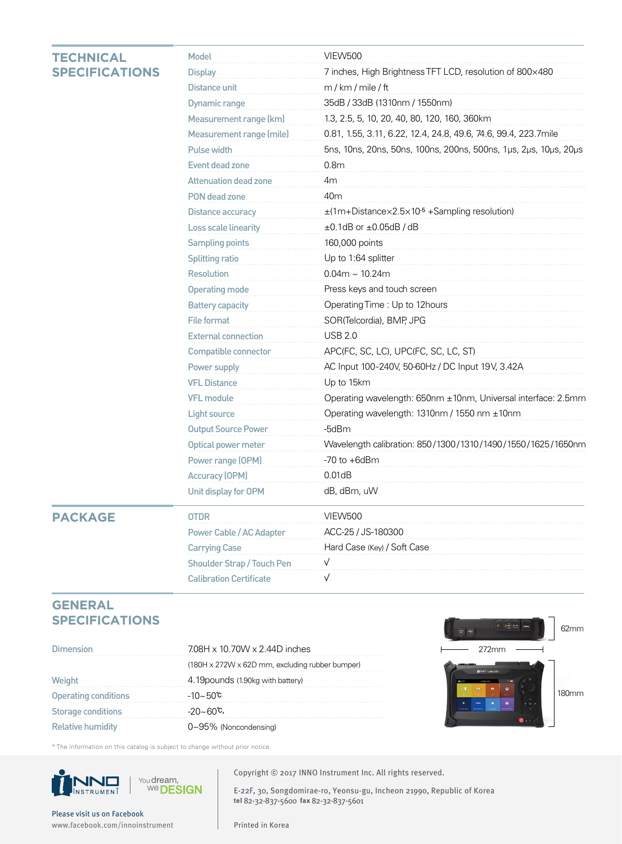### **TECHNICAL SPECIFICATIO**

|           | Model                             | <b>VIEW500</b>                                                   |
|-----------|-----------------------------------|------------------------------------------------------------------|
| <b>NS</b> | <b>Display</b>                    | 7 inches, High Brightness TFT LCD, resolution of 800×480         |
|           | <b>Distance unit</b>              | m / km / mile / ft                                               |
|           | <b>Dynamic range</b>              | 35dB / 33dB (1310nm / 1550nm)                                    |
|           | Measurement range (km)            | 1.3, 2.5, 5, 10, 20, 40, 80, 120, 160, 360km                     |
|           | Measurement range (mile)          | 0.81, 1.55, 3.11, 6.22, 12.4, 24.8, 49.6, 74.6, 99.4, 223.7mile  |
|           | Pulse width                       | 5ns, 10ns, 20ns, 50ns, 100ns, 200ns, 500ns, 1µs, 2µs, 10µs, 20µs |
|           | Event dead zone                   | 0.8 <sub>m</sub>                                                 |
|           | <b>Attenuation dead zone</b>      | 4m                                                               |
|           | PON dead zone                     | 40m                                                              |
|           | Distance accuracy                 | ±(1m+Distance×2.5×10 <sup>-5</sup> +Sampling resolution)         |
|           | <b>Loss scale linearity</b>       | $\pm$ 0.1dB or $\pm$ 0.05dB / dB                                 |
|           | <b>Sampling points</b>            | 160,000 points                                                   |
|           | <b>Splitting ratio</b>            | Up to 1:64 splitter                                              |
|           | <b>Resolution</b>                 | $0.04m \sim 10.24m$                                              |
|           | <b>Operating mode</b>             | Press keys and touch screen                                      |
|           | <b>Battery capacity</b>           | Operating Time: Up to 12hours                                    |
|           | <b>File format</b>                | SOR(Telcordia), BMP, JPG                                         |
|           | <b>External connection</b>        | <b>USB 2.0</b>                                                   |
|           | Compatible connector              | APC(FC, SC, LC), UPC(FC, SC, LC, ST)                             |
|           | Power supply                      | AC Input 100-240V, 50-60Hz / DC Input 19V, 3.42A                 |
|           | <b>VFL Distance</b>               | Up to 15km                                                       |
|           | <b>VFL module</b>                 | Operating wavelength: 650nm ±10nm, Universal interface: 2.5mm    |
|           | <b>Light source</b>               | Operating wavelength: 1310nm / 1550 nm ±10nm                     |
|           | <b>Output Source Power</b>        | -5dBm                                                            |
|           | Optical power meter               | Wavelength calibration: 850/1300/1310/1490/1550/1625/1650nm      |
|           | Power range (OPM)                 | $-70$ to $+6$ dBm                                                |
|           | <b>Accuracy (OPM)</b>             | 0.01dB                                                           |
|           | Unit display for OPM              | dB, dBm, uW                                                      |
|           | <b>OTDR</b>                       | <b>VIEW500</b>                                                   |
|           | Power Cable / AC Adapter          | ACC-25 / JS-180300                                               |
|           | <b>Carrying Case</b>              | Hard Case (Key) / Soft Case                                      |
|           | <b>Shoulder Strap / Touch Pen</b> | V                                                                |
|           | <b>Calibration Certificate</b>    | V                                                                |
|           |                                   |                                                                  |

### **GENERAL SPECIFICATIONS**

**PACKAGE**

| Dimension                   | 708H x 10.70W x 2.44D inches                    |  |  | 772mm |  |
|-----------------------------|-------------------------------------------------|--|--|-------|--|
|                             | (180H x 272W x 62D mm, excluding rubber bumper) |  |  |       |  |
|                             | 4.19 pounds (1.90 kg with battery)              |  |  |       |  |
| <b>Operating conditions</b> | -10∼50℃                                         |  |  |       |  |
| Storage conditions          | -20∼60℃,                                        |  |  |       |  |
| <b>Relative humidity</b>    | $0\nu 95\%$ (Noncondensing)                     |  |  |       |  |



\* The information on this catalog is subject to change without prior notice.



Copyright **ⓒ** 2017 INNO Instrument Inc. All rights reserved.

E-22F, 30, Songdomirae-ro, Yeonsu-gu, Incheon 21990, Republic of Korea **tel** 82-32-837-5600 **fax** 82-32-837-5601

Please visit us on Facebook www.facebook.com/innoinstrument Printed in Korea